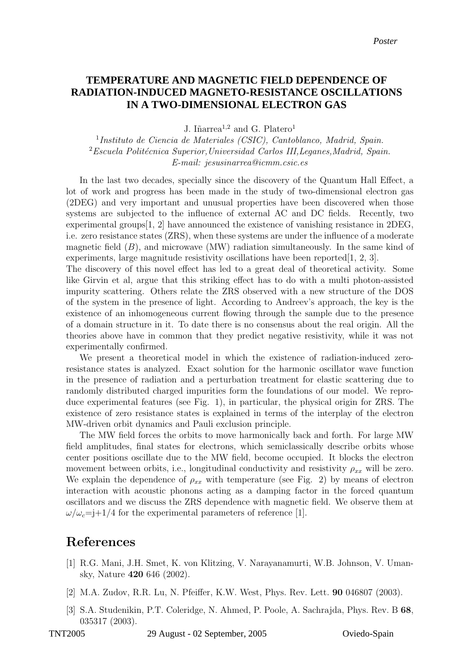## RADIATION-INDUCED MAGNETO-RESISTANCE OSCILLATIONS **IN A TWO-DIMENSIONAL ELECTRON GAS TEMPERATURE AND MAGNETIC FIELD DEPENDENCE OF**

J. Iñarrea<sup>1,2</sup> and G. Platero<sup>1</sup>

1 Instituto de Ciencia de Materiales (CSIC), Cantoblanco, Madrid, Spain.  $2$ Escuela Politécnica Superior, Universidad Carlos III, Leganes, Madrid, Spain. E-mail: jesusinarrea@icmm.csic.es

In the last two decades, specially since the discovery of the Quantum Hall Effect, a lot of work and progress has been made in the study of two-dimensional electron gas (2DEG) and very important and unusual properties have been discovered when those systems are subjected to the influence of external AC and DC fields. Recently, two experimental groups  $[1, 2]$  have announced the existence of vanishing resistance in 2DEG, i.e. zero resistance states (ZRS), when these systems are under the influence of a moderate magnetic field  $(B)$ , and microwave  $(MW)$  radiation simultaneously. In the same kind of experiments, large magnitude resistivity oscillations have been reported  $[1, 2, 3]$ .

The discovery of this novel effect has led to a great deal of theoretical activity. Some like Girvin et al, argue that this striking effect has to do with a multi photon-assisted impurity scattering. Others relate the ZRS observed with a new structure of the DOS of the system in the presence of light. According to Andreev's approach, the key is the existence of an inhomogeneous current flowing through the sample due to the presence of a domain structure in it. To date there is no consensus about the real origin. All the theories above have in common that they predict negative resistivity, while it was not experimentally confirmed.

We present a theoretical model in which the existence of radiation-induced zeroresistance states is analyzed. Exact solution for the harmonic oscillator wave function in the presence of radiation and a perturbation treatment for elastic scattering due to randomly distributed charged impurities form the foundations of our model. We reproduce experimental features (see Fig. 1), in particular, the physical origin for ZRS. The existence of zero resistance states is explained in terms of the interplay of the electron MW-driven orbit dynamics and Pauli exclusion principle.

The MW field forces the orbits to move harmonically back and forth. For large MW field amplitudes, final states for electrons, which semiclassically describe orbits whose center positions oscillate due to the MW field, become occupied. It blocks the electron movement between orbits, i.e., longitudinal conductivity and resistivity  $\rho_{xx}$  will be zero. We explain the dependence of  $\rho_{xx}$  with temperature (see Fig. 2) by means of electron interaction with acoustic phonons acting as a damping factor in the forced quantum oscillators and we discuss the ZRS dependence with magnetic field. We observe them at  $\omega/\omega_c$ =j+1/4 for the experimental parameters of reference [1].

## References

- [1] R.G. Mani, J.H. Smet, K. von Klitzing, V. Narayanamurti, W.B. Johnson, V. Umansky, Nature 420 646 (2002).
- [2] M.A. Zudov, R.R. Lu, N. Pfeiffer, K.W. West, Phys. Rev. Lett. 90 046807 (2003).
- [3] S.A. Studenikin, P.T. Coleridge, N. Ahmed, P. Poole, A. Sachrajda, Phys. Rev. B 68, 035317 (2003).

TNT2005 29 August - 02 September, 2005 Oviedo-Spain